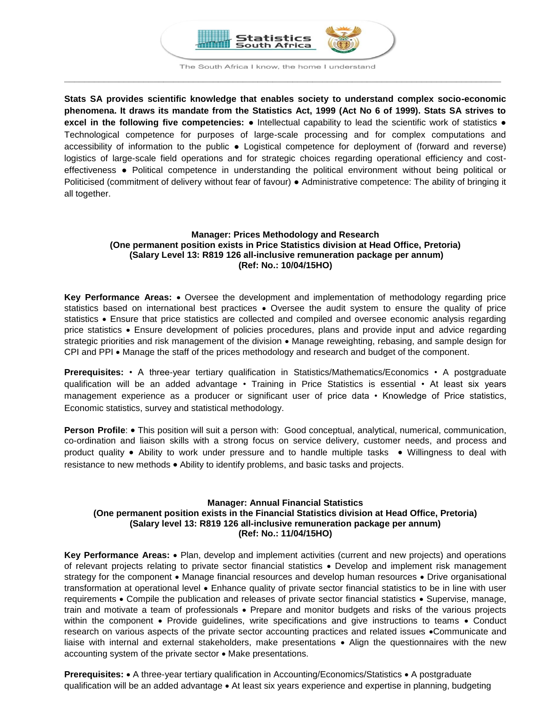

The South Africa I know, the home I understand **\_\_\_\_\_\_\_\_\_\_\_\_\_\_\_\_\_\_\_\_\_\_\_\_\_\_\_\_\_\_\_\_\_\_\_\_\_\_\_\_\_\_\_\_\_\_\_\_\_\_\_\_\_\_\_\_\_\_\_\_\_\_\_\_\_\_\_\_\_\_\_\_\_\_\_\_\_\_\_\_\_\_\_\_\_\_\_\_**

**Stats SA provides scientific knowledge that enables society to understand complex socio-economic phenomena. It draws its mandate from the Statistics Act, 1999 (Act No 6 of 1999). Stats SA strives to excel in the following five competencies:** ● Intellectual capability to lead the scientific work of statistics ● Technological competence for purposes of large-scale processing and for complex computations and accessibility of information to the public . Logistical competence for deployment of (forward and reverse) logistics of large-scale field operations and for strategic choices regarding operational efficiency and costeffectiveness ● Political competence in understanding the political environment without being political or Politicised (commitment of delivery without fear of favour) ● Administrative competence: The ability of bringing it all together.

# **Manager: Prices Methodology and Research (One permanent position exists in Price Statistics division at Head Office, Pretoria) (Salary Level 13: R819 126 all-inclusive remuneration package per annum) (Ref: No.: 10/04/15HO)**

**Key Performance Areas:**  Oversee the development and implementation of methodology regarding price statistics based on international best practices • Oversee the audit system to ensure the quality of price statistics • Ensure that price statistics are collected and compiled and oversee economic analysis regarding price statistics Ensure development of policies procedures, plans and provide input and advice regarding strategic priorities and risk management of the division • Manage reweighting, rebasing, and sample design for  $CPI$  and  $PPI \bullet$  Manage the staff of the prices methodology and research and budget of the component.

**Prerequisites:** • A three-year tertiary qualification in Statistics/Mathematics/Economics • A postgraduate qualification will be an added advantage • Training in Price Statistics is essential • At least six years management experience as a producer or significant user of price data • Knowledge of Price statistics, Economic statistics, survey and statistical methodology.

**Person Profile:** • This position will suit a person with: Good conceptual, analytical, numerical, communication, co-ordination and liaison skills with a strong focus on service delivery, customer needs, and process and product quality • Ability to work under pressure and to handle multiple tasks • Willingness to deal with resistance to new methods  $\bullet$  Ability to identify problems, and basic tasks and projects.

# **Manager: Annual Financial Statistics (One permanent position exists in the Financial Statistics division at Head Office, Pretoria) (Salary level 13: R819 126 all-inclusive remuneration package per annum) (Ref: No.: 11/04/15HO)**

**Key Performance Areas:** Plan, develop and implement activities (current and new projects) and operations of relevant projects relating to private sector financial statistics Develop and implement risk management strategy for the component • Manage financial resources and develop human resources • Drive organisational transformation at operational level Enhance quality of private sector financial statistics to be in line with user requirements • Compile the publication and releases of private sector financial statistics • Supervise, manage, train and motivate a team of professionals • Prepare and monitor budgets and risks of the various projects within the component • Provide guidelines, write specifications and give instructions to teams • Conduct research on various aspects of the private sector accounting practices and related issues • Communicate and liaise with internal and external stakeholders, make presentations • Align the questionnaires with the new accounting system of the private sector • Make presentations.

**Prerequisites:** • A three-year tertiary qualification in Accounting/Economics/Statistics • A postgraduate qualification will be an added advantage • At least six years experience and expertise in planning, budgeting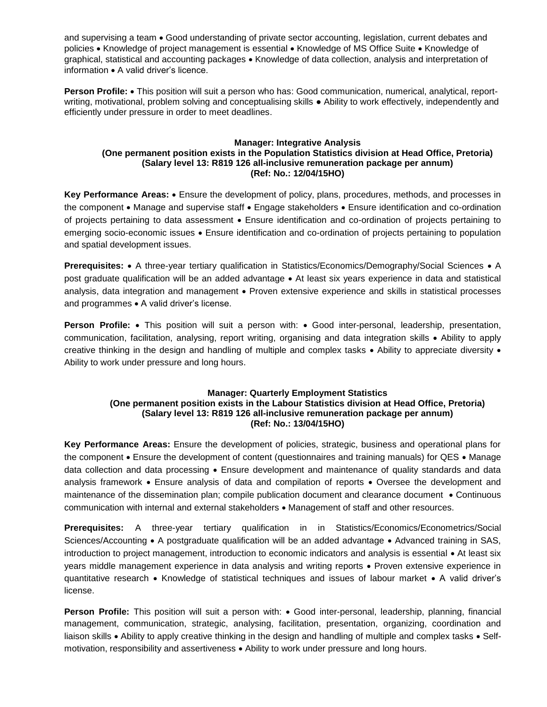and supervising a team  $\bullet$  Good understanding of private sector accounting, legislation, current debates and policies • Knowledge of project management is essential • Knowledge of MS Office Suite • Knowledge of graphical, statistical and accounting packages • Knowledge of data collection, analysis and interpretation of information • A valid driver's licence.

**Person Profile: •** This position will suit a person who has: Good communication, numerical, analytical, reportwriting, motivational, problem solving and conceptualising skills ● Ability to work effectively, independently and efficiently under pressure in order to meet deadlines.

#### **Manager: Integrative Analysis (One permanent position exists in the Population Statistics division at Head Office, Pretoria) (Salary level 13: R819 126 all-inclusive remuneration package per annum) (Ref: No.: 12/04/15HO)**

**Key Performance Areas:** Ensure the development of policy, plans, procedures, methods, and processes in the component • Manage and supervise staff • Engage stakeholders • Ensure identification and co-ordination of projects pertaining to data assessment . Ensure identification and co-ordination of projects pertaining to emerging socio-economic issues Ensure identification and co-ordination of projects pertaining to population and spatial development issues.

**Prerequisites:** • A three-year tertiary qualification in Statistics/Economics/Demography/Social Sciences • A post graduate qualification will be an added advantage At least six years experience in data and statistical analysis, data integration and management • Proven extensive experience and skills in statistical processes and programmes • A valid driver's license.

**Person Profile:** • This position will suit a person with: • Good inter-personal, leadership, presentation, communication, facilitation, analysing, report writing, organising and data integration skills Ability to apply creative thinking in the design and handling of multiple and complex tasks  $\bullet$  Ability to appreciate diversity  $\bullet$ Ability to work under pressure and long hours.

## **Manager: Quarterly Employment Statistics (One permanent position exists in the Labour Statistics division at Head Office, Pretoria) (Salary level 13: R819 126 all-inclusive remuneration package per annum) (Ref: No.: 13/04/15HO)**

**Key Performance Areas:** Ensure the development of policies, strategic, business and operational plans for the component  $\bullet$  Ensure the development of content (questionnaires and training manuals) for QES  $\bullet$  Manage data collection and data processing . Ensure development and maintenance of quality standards and data analysis framework  $\bullet$  Ensure analysis of data and compilation of reports  $\bullet$  Oversee the development and maintenance of the dissemination plan; compile publication document and clearance document • Continuous communication with internal and external stakeholders • Management of staff and other resources.

**Prerequisites:** A three-year tertiary qualification in in Statistics/Economics/Econometrics/Social Sciences/Accounting • A postgraduate qualification will be an added advantage • Advanced training in SAS, introduction to project management, introduction to economic indicators and analysis is essential • At least six years middle management experience in data analysis and writing reports • Proven extensive experience in quantitative research • Knowledge of statistical techniques and issues of labour market • A valid driver's license.

**Person Profile:** This position will suit a person with: • Good inter-personal, leadership, planning, financial management, communication, strategic, analysing, facilitation, presentation, organizing, coordination and liaison skills • Ability to apply creative thinking in the design and handling of multiple and complex tasks • Selfmotivation, responsibility and assertiveness . Ability to work under pressure and long hours.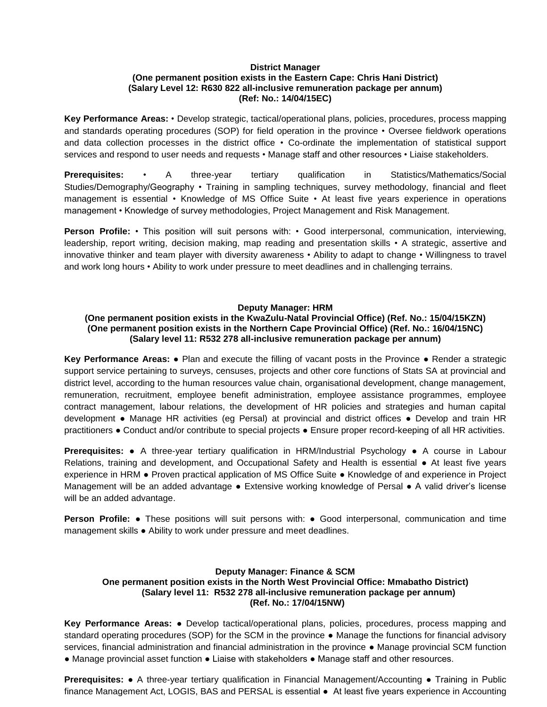## **District Manager**

## **(One permanent position exists in the Eastern Cape: Chris Hani District) (Salary Level 12: R630 822 all-inclusive remuneration package per annum) (Ref: No.: 14/04/15EC)**

**Key Performance Areas:** • Develop strategic, tactical/operational plans, policies, procedures, process mapping and standards operating procedures (SOP) for field operation in the province • Oversee fieldwork operations and data collection processes in the district office • Co-ordinate the implementation of statistical support services and respond to user needs and requests • Manage staff and other resources • Liaise stakeholders.

**Prerequisites:** • A three-year tertiary qualification in Statistics/Mathematics/Social Studies/Demography/Geography • Training in sampling techniques, survey methodology, financial and fleet management is essential • Knowledge of MS Office Suite • At least five years experience in operations management • Knowledge of survey methodologies, Project Management and Risk Management.

**Person Profile:** • This position will suit persons with: • Good interpersonal, communication, interviewing, leadership, report writing, decision making, map reading and presentation skills • A strategic, assertive and innovative thinker and team player with diversity awareness • Ability to adapt to change • Willingness to travel and work long hours • Ability to work under pressure to meet deadlines and in challenging terrains.

## **Deputy Manager: HRM**

#### **(One permanent position exists in the KwaZulu-Natal Provincial Office) (Ref. No.: 15/04/15KZN) (One permanent position exists in the Northern Cape Provincial Office) (Ref. No.: 16/04/15NC) (Salary level 11: R532 278 all-inclusive remuneration package per annum)**

**Key Performance Areas:** ● Plan and execute the filling of vacant posts in the Province ● Render a strategic support service pertaining to surveys, censuses, projects and other core functions of Stats SA at provincial and district level, according to the human resources value chain, organisational development, change management, remuneration, recruitment, employee benefit administration, employee assistance programmes, employee contract management, labour relations, the development of HR policies and strategies and human capital development ● Manage HR activities (eg Persal) at provincial and district offices ● Develop and train HR practitioners ● Conduct and/or contribute to special projects ● Ensure proper record-keeping of all HR activities.

**Prerequisites:** ● A three-year tertiary qualification in HRM/Industrial Psychology ● A course in Labour Relations, training and development, and Occupational Safety and Health is essential ● At least five years experience in HRM ● Proven practical application of MS Office Suite ● Knowledge of and experience in Project Management will be an added advantage ● Extensive working knowledge of Persal ● A valid driver's license will be an added advantage.

**Person Profile: •** These positions will suit persons with: • Good interpersonal, communication and time management skills ● Ability to work under pressure and meet deadlines.

## **Deputy Manager: Finance & SCM One permanent position exists in the North West Provincial Office: Mmabatho District) (Salary level 11: R532 278 all-inclusive remuneration package per annum) (Ref. No.: 17/04/15NW)**

**Key Performance Areas:** ● Develop tactical/operational plans, policies, procedures, process mapping and standard operating procedures (SOP) for the SCM in the province ● Manage the functions for financial advisory services, financial administration and financial administration in the province ● Manage provincial SCM function ● Manage provincial asset function ● Liaise with stakeholders ● Manage staff and other resources.

**Prerequisites: •** A three-year tertiary qualification in Financial Management/Accounting • Training in Public finance Management Act, LOGIS, BAS and PERSAL is essential ● At least five years experience in Accounting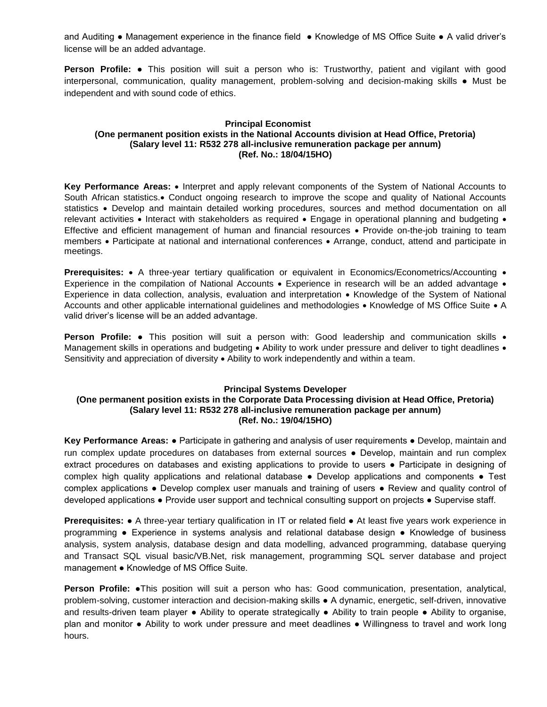and Auditing ● Management experience in the finance field ● Knowledge of MS Office Suite ● A valid driver's license will be an added advantage.

**Person Profile: ●** This position will suit a person who is: Trustworthy, patient and vigilant with good interpersonal, communication, quality management, problem-solving and decision-making skills ● Must be independent and with sound code of ethics.

## **Principal Economist (One permanent position exists in the National Accounts division at Head Office, Pretoria) (Salary level 11: R532 278 all-inclusive remuneration package per annum) (Ref. No.: 18/04/15HO)**

Key Performance Areas: • Interpret and apply relevant components of the System of National Accounts to South African statistics. Conduct ongoing research to improve the scope and quality of National Accounts statistics • Develop and maintain detailed working procedures, sources and method documentation on all relevant activities  $\bullet$  Interact with stakeholders as required  $\bullet$  Engage in operational planning and budgeting  $\bullet$ Effective and efficient management of human and financial resources • Provide on-the-job training to team members • Participate at national and international conferences • Arrange, conduct, attend and participate in meetings.

**Prerequisites:** • A three-year tertiary qualification or equivalent in Economics/Econometrics/Accounting • Experience in the compilation of National Accounts • Experience in research will be an added advantage • Experience in data collection, analysis, evaluation and interpretation • Knowledge of the System of National Accounts and other applicable international guidelines and methodologies • Knowledge of MS Office Suite • A valid driver's license will be an added advantage.

**Person Profile:** • This position will suit a person with: Good leadership and communication skills • Management skills in operations and budgeting • Ability to work under pressure and deliver to tight deadlines • Sensitivity and appreciation of diversity  $\bullet$  Ability to work independently and within a team.

## **Principal Systems Developer**

#### **(One permanent position exists in the Corporate Data Processing division at Head Office, Pretoria) (Salary level 11: R532 278 all-inclusive remuneration package per annum) (Ref. No.: 19/04/15HO)**

**Key Performance Areas:** ● Participate in gathering and analysis of user requirements ● Develop, maintain and run complex update procedures on databases from external sources ● Develop, maintain and run complex extract procedures on databases and existing applications to provide to users ● Participate in designing of complex high quality applications and relational database • Develop applications and components • Test complex applications ● Develop complex user manuals and training of users ● Review and quality control of developed applications ● Provide user support and technical consulting support on projects ● Supervise staff.

**Prerequisites:** ● A three-year tertiary qualification in IT or related field ● At least five years work experience in programming ● Experience in systems analysis and relational database design ● Knowledge of business analysis, system analysis, database design and data modelling, advanced programming, database querying and Transact SQL visual basic/VB.Net, risk management, programming SQL server database and project management ● Knowledge of MS Office Suite.

**Person Profile:** ●This position will suit a person who has: Good communication, presentation, analytical, problem-solving, customer interaction and decision-making skills ● A dynamic, energetic, self-driven, innovative and results-driven team player ● Ability to operate strategically ● Ability to train people ● Ability to organise, plan and monitor ● Ability to work under pressure and meet deadlines ● Willingness to travel and work long hours.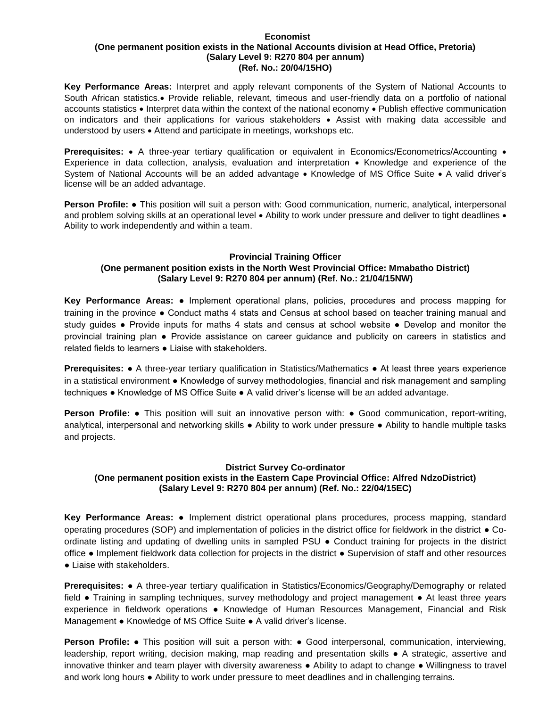#### **Economist (One permanent position exists in the National Accounts division at Head Office, Pretoria) (Salary Level 9: R270 804 per annum) (Ref. No.: 20/04/15HO)**

**Key Performance Areas:** Interpret and apply relevant components of the System of National Accounts to South African statistics. Provide reliable, relevant, timeous and user-friendly data on a portfolio of national accounts statistics • Interpret data within the context of the national economy • Publish effective communication on indicators and their applications for various stakeholders • Assist with making data accessible and understood by users • Attend and participate in meetings, workshops etc.

**Prerequisites:** • A three-year tertiary qualification or equivalent in Economics/Econometrics/Accounting • Experience in data collection, analysis, evaluation and interpretation • Knowledge and experience of the System of National Accounts will be an added advantage • Knowledge of MS Office Suite • A valid driver's license will be an added advantage.

**Person Profile:** ● This position will suit a person with: Good communication, numeric, analytical, interpersonal and problem solving skills at an operational level  $\bullet$  Ability to work under pressure and deliver to tight deadlines  $\bullet$ Ability to work independently and within a team.

#### **Provincial Training Officer**

# **(One permanent position exists in the North West Provincial Office: Mmabatho District) (Salary Level 9: R270 804 per annum) (Ref. No.: 21/04/15NW)**

**Key Performance Areas:** ● Implement operational plans, policies, procedures and process mapping for training in the province ● Conduct maths 4 stats and Census at school based on teacher training manual and study guides ● Provide inputs for maths 4 stats and census at school website ● Develop and monitor the provincial training plan ● Provide assistance on career guidance and publicity on careers in statistics and related fields to learners ● Liaise with stakeholders.

**Prerequisites: •** A three-year tertiary qualification in Statistics/Mathematics • At least three years experience in a statistical environment ● Knowledge of survey methodologies, financial and risk management and sampling techniques ● Knowledge of MS Office Suite ● A valid driver's license will be an added advantage.

**Person Profile:** ● This position will suit an innovative person with: ● Good communication, report-writing, analytical, interpersonal and networking skills ● Ability to work under pressure ● Ability to handle multiple tasks and projects.

## **District Survey Co-ordinator**

# **(One permanent position exists in the Eastern Cape Provincial Office: Alfred NdzoDistrict) (Salary Level 9: R270 804 per annum) (Ref. No.: 22/04/15EC)**

**Key Performance Areas:** ● Implement district operational plans procedures, process mapping, standard operating procedures (SOP) and implementation of policies in the district office for fieldwork in the district ● Coordinate listing and updating of dwelling units in sampled PSU ● Conduct training for projects in the district office ● Implement fieldwork data collection for projects in the district ● Supervision of staff and other resources ● Liaise with stakeholders.

**Prerequisites:** ● A three-year tertiary qualification in Statistics/Economics/Geography/Demography or related field ● Training in sampling techniques, survey methodology and project management ● At least three years experience in fieldwork operations ● Knowledge of Human Resources Management, Financial and Risk Management ● Knowledge of MS Office Suite ● A valid driver's license.

**Person Profile:** • This position will suit a person with: • Good interpersonal, communication, interviewing, leadership, report writing, decision making, map reading and presentation skills ● A strategic, assertive and innovative thinker and team player with diversity awareness ● Ability to adapt to change ● Willingness to travel and work long hours ● Ability to work under pressure to meet deadlines and in challenging terrains.